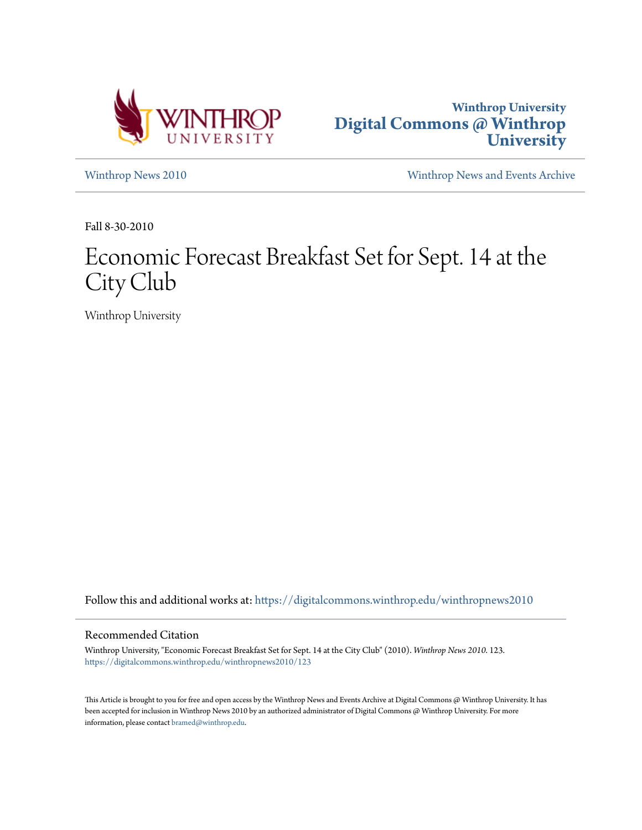



[Winthrop News 2010](https://digitalcommons.winthrop.edu/winthropnews2010?utm_source=digitalcommons.winthrop.edu%2Fwinthropnews2010%2F123&utm_medium=PDF&utm_campaign=PDFCoverPages) [Winthrop News and Events Archive](https://digitalcommons.winthrop.edu/winthropnewsarchives?utm_source=digitalcommons.winthrop.edu%2Fwinthropnews2010%2F123&utm_medium=PDF&utm_campaign=PDFCoverPages)

Fall 8-30-2010

## Economic Forecast Breakfast Set for Sept. 14 at the City Club

Winthrop University

Follow this and additional works at: [https://digitalcommons.winthrop.edu/winthropnews2010](https://digitalcommons.winthrop.edu/winthropnews2010?utm_source=digitalcommons.winthrop.edu%2Fwinthropnews2010%2F123&utm_medium=PDF&utm_campaign=PDFCoverPages)

## Recommended Citation

Winthrop University, "Economic Forecast Breakfast Set for Sept. 14 at the City Club" (2010). *Winthrop News 2010*. 123. [https://digitalcommons.winthrop.edu/winthropnews2010/123](https://digitalcommons.winthrop.edu/winthropnews2010/123?utm_source=digitalcommons.winthrop.edu%2Fwinthropnews2010%2F123&utm_medium=PDF&utm_campaign=PDFCoverPages)

This Article is brought to you for free and open access by the Winthrop News and Events Archive at Digital Commons @ Winthrop University. It has been accepted for inclusion in Winthrop News 2010 by an authorized administrator of Digital Commons @ Winthrop University. For more information, please contact [bramed@winthrop.edu](mailto:bramed@winthrop.edu).